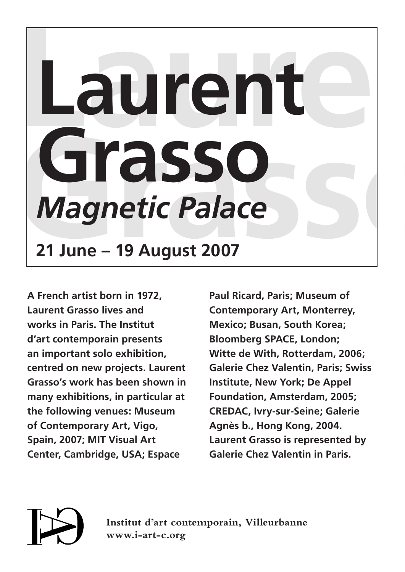## Laurent – **Grasso**<br> **Magnetic Palace**<br>
21 June – 19 August 2007 **Laurent** *Magnetic Palace* **21 June – 19 August 2007**

**A French artist born in 1972, Laurent Grasso lives and works in Paris. The Institut d'art contemporain presents an important solo exhibition, centred on new projects. Laurent Grasso's work has been shown in many exhibitions, in particular at the following venues: Museum of Contemporary Art, Vigo, Spain, 2007; MIT Visual Art Center, Cambridge, USA; Espace** 

**Paul Ricard, Paris; Museum of Contemporary Art, Monterrey, Mexico; Busan, South Korea; Bloomberg SPACE, London; Witte de With, Rotterdam, 2006; Galerie Chez Valentin, Paris; Swiss Institute, New York; De Appel Foundation, Amsterdam, 2005; CREDAC, Ivry-sur-Seine; Galerie Agnès b., Hong Kong, 2004. Laurent Grasso is represented by Galerie Chez Valentin in Paris.**



**Institut d'art contemporain, Villeurbanne www.i-art-c.org**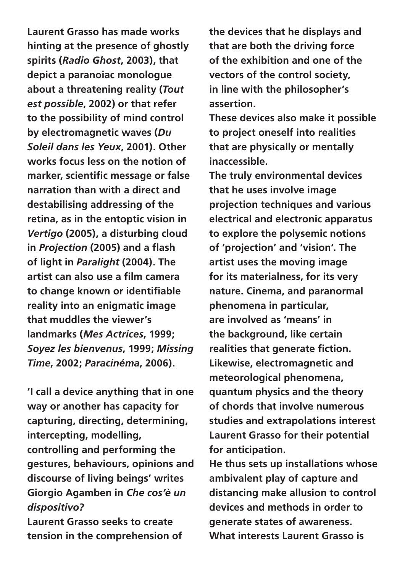**Laurent Grasso has made works hinting at the presence of ghostly spirits (***Radio Ghost***, 2003), that depict a paranoiac monologue about a threatening reality (***Tout est possible***, 2002) or that refer to the possibility of mind control by electromagnetic waves (***Du Soleil dans les Yeux***, 2001). Other works focus less on the notion of marker, scientific message or false narration than with a direct and destabilising addressing of the retina, as in the entoptic vision in**  *Vertigo* **(2005), a disturbing cloud in** *Projection* **(2005) and a flash of light in** *Paralight* **(2004). The artist can also use a film camera to change known or identifiable reality into an enigmatic image that muddles the viewer's landmarks (***Mes Actrices***, 1999;**  *Soyez les bienvenus***, 1999;** *Missing Time***, 2002;** *Paracinéma***, 2006).**

**'I call a device anything that in one way or another has capacity for capturing, directing, determining, intercepting, modelling, controlling and performing the gestures, behaviours, opinions and discourse of living beings' writes Giorgio Agamben in** *Che cos'è un dispositivo?*

**Laurent Grasso seeks to create tension in the comprehension of**  **the devices that he displays and that are both the driving force of the exhibition and one of the vectors of the control society, in line with the philosopher's assertion.**

**These devices also make it possible to project oneself into realities that are physically or mentally inaccessible.**

**The truly environmental devices that he uses involve image projection techniques and various electrical and electronic apparatus to explore the polysemic notions of 'projection' and 'vision'. The artist uses the moving image for its materialness, for its very nature. Cinema, and paranormal phenomena in particular, are involved as 'means' in the background, like certain realities that generate fiction. Likewise, electromagnetic and meteorological phenomena, quantum physics and the theory of chords that involve numerous studies and extrapolations interest Laurent Grasso for their potential for anticipation.**

**He thus sets up installations whose ambivalent play of capture and distancing make allusion to control devices and methods in order to generate states of awareness. What interests Laurent Grasso is**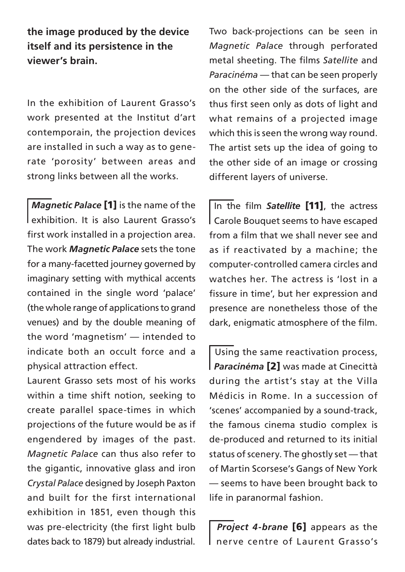**the image produced by the device itself and its persistence in the viewer's brain.**

In the exhibition of Laurent Grasso's work presented at the Institut d'art contemporain, the projection devices are installed in such a way as to generate 'porosity' between areas and strong links between all the works.

 *Magnetic Palace* [1] is the name of the exhibition. It is also Laurent Grasso's first work installed in a projection area. The work *Magnetic Palace* sets the tone for a many-facetted journey governed by imaginary setting with mythical accents contained in the single word 'palace' (the whole range of applications to grand venues) and by the double meaning of the word 'magnetism' — intended to indicate both an occult force and a physical attraction effect.

Laurent Grasso sets most of his works within a time shift notion, seeking to create parallel space-times in which projections of the future would be as if engendered by images of the past. *Magnetic Palace* can thus also refer to the gigantic, innovative glass and iron *Crystal Palace* designed by Joseph Paxton and built for the first international exhibition in 1851, even though this was pre-electricity (the first light bulb dates back to 1879) but already industrial.

Two back-projections can be seen in *Magnetic Palace* through perforated metal sheeting. The films *Satellite* and *Paracinéma* — that can be seen properly on the other side of the surfaces, are thus first seen only as dots of light and what remains of a projected image which this is seen the wrong way round. The artist sets up the idea of going to the other side of an image or crossing different layers of universe.

 In the film *Satellite* [11], the actress Carole Bouquet seems to have escaped from a film that we shall never see and as if reactivated by a machine; the computer-controlled camera circles and watches her. The actress is 'lost in a fissure in time', but her expression and presence are nonetheless those of the dark, enigmatic atmosphere of the film.

Using the same reactivation process, *Paracinéma* [2] was made at Cinecittà during the artist's stay at the Villa Médicis in Rome. In a succession of 'scenes' accompanied by a sound-track, the famous cinema studio complex is de-produced and returned to its initial status of scenery. The ghostly set — that of Martin Scorsese's Gangs of New York — seems to have been brought back to life in paranormal fashion.

 *Project 4-brane* [6] appears as the nerve centre of Laurent Grasso's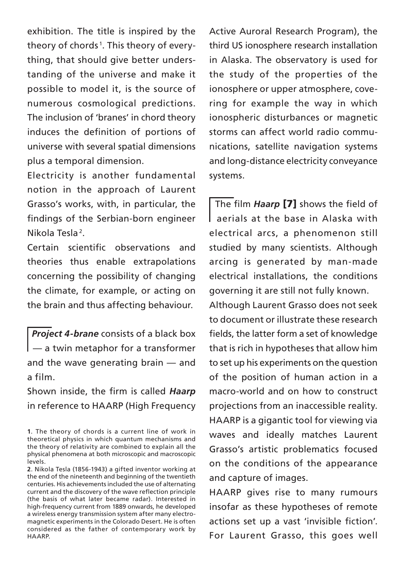exhibition. The title is inspired by the theory of chords 1 . This theory of everything, that should give better understanding of the universe and make it possible to model it, is the source of numerous cosmological predictions. The inclusion of 'branes' in chord theory induces the definition of portions of universe with several spatial dimensions plus a temporal dimension.

Electricity is another fundamental notion in the approach of Laurent Grasso's works, with, in particular, the findings of the Serbian-born engineer Nikola Tesla 2.

Certain scientific observations and theories thus enable extrapolations concerning the possibility of changing the climate, for example, or acting on the brain and thus affecting behaviour.

 *Project 4-brane* consists of a black box — a twin metaphor for a transformer and the wave generating brain — and a film.

Shown inside, the firm is called *Haarp* in reference to HAARP (High Frequency Active Auroral Research Program), the third US ionosphere research installation in Alaska. The observatory is used for the study of the properties of the ionosphere or upper atmosphere, covering for example the way in which ionospheric disturbances or magnetic storms can affect world radio communications, satellite navigation systems and long-distance electricity conveyance systems.

 The film *Haarp* [7] shows the field of aerials at the base in Alaska with electrical arcs, a phenomenon still studied by many scientists. Although arcing is generated by man-made electrical installations, the conditions governing it are still not fully known.

Although Laurent Grasso does not seek to document or illustrate these research fields, the latter form a set of knowledge that is rich in hypotheses that allow him to set up his experiments on the question of the position of human action in a macro-world and on how to construct projections from an inaccessible reality. HAARP is a gigantic tool for viewing via waves and ideally matches Laurent Grasso's artistic problematics focused on the conditions of the appearance and capture of images.

HAARP gives rise to many rumours insofar as these hypotheses of remote actions set up a vast 'invisible fiction'. For Laurent Grasso, this goes well

**<sup>1</sup>**. The theory of chords is a current line of work in theoretical physics in which quantum mechanisms and the theory of relativity are combined to explain all the physical phenomena at both microscopic and macroscopic levels.

**<sup>2</sup>**. Nikola Tesla (1856-1943) a gifted inventor working at the end of the nineteenth and beginning of the twentieth centuries. His achievements included the use of alternating current and the discovery of the wave reflection principle (the basis of what later became radar). Interested in high-frequency current from 1889 onwards, he developed a wireless energy transmission system after many electromagnetic experiments in the Colorado Desert. He is often considered as the father of contemporary work by HAARP.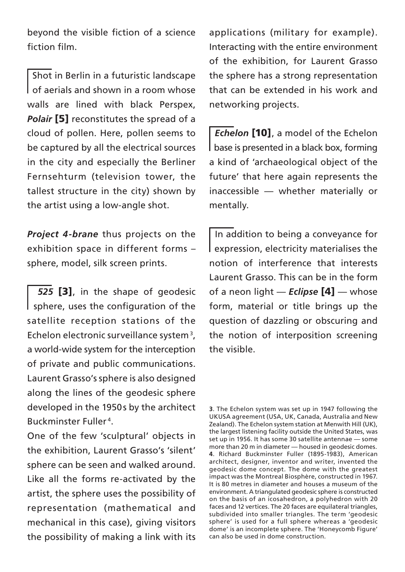beyond the visible fiction of a science fiction film.

 Shot in Berlin in a futuristic landscape of aerials and shown in a room whose walls are lined with black Perspex, **Polair [5]** reconstitutes the spread of a cloud of pollen. Here, pollen seems to be captured by all the electrical sources in the city and especially the Berliner Fernsehturm (television tower, the tallest structure in the city) shown by the artist using a low-angle shot.

*Project 4-brane* thus projects on the exhibition space in different forms – sphere, model, silk screen prints.

525 [3], in the shape of geodesic sphere, uses the configuration of the satellite reception stations of the Echelon electronic surveillance system 3, a world-wide system for the interception of private and public communications. Laurent Grasso's sphere is also designed along the lines of the geodesic sphere developed in the 1950 s by the architect Buckminster Fuller 4.

One of the few 'sculptural' objects in the exhibition, Laurent Grasso's 'silent' sphere can be seen and walked around. Like all the forms re-activated by the artist, the sphere uses the possibility of representation (mathematical and mechanical in this case), giving visitors the possibility of making a link with its

applications (military for example). Interacting with the entire environment of the exhibition, for Laurent Grasso the sphere has a strong representation that can be extended in his work and networking projects.

 *Echelon* [10], a model of the Echelon base is presented in a black box, forming a kind of 'archaeological object of the future' that here again represents the inaccessible — whether materially or mentally.

 In addition to being a conveyance for expression, electricity materialises the notion of interference that interests Laurent Grasso. This can be in the form of a neon light — *Eclipse* [4] — whose form, material or title brings up the question of dazzling or obscuring and the notion of interposition screening the visible.

**<sup>3</sup>**. The Echelon system was set up in 1947 following the UKUSA agreement (USA, UK, Canada, Australia and New Zealand). The Echelon system station at Menwith Hill (UK), the largest listening facility outside the United States, was set up in 1956. It has some 30 satellite antennae — some more than 20 m in diameter — housed in geodesic domes. **4**. Richard Buckminster Fuller (1895-1983), American architect, designer, inventor and writer, invented the geodesic dome concept. The dome with the greatest impact was the Montreal Biosphère, constructed in 1967. It is 80 metres in diameter and houses a museum of the environment. A triangulated geodesic sphere is constructed on the basis of an icosahedron, a polyhedron with 20 faces and 12 vertices. The 20 faces are equilateral triangles, subdivided into smaller triangles. The term 'geodesic sphere' is used for a full sphere whereas a 'geodesic dome' is an incomplete sphere. The 'Honeycomb Figure' can also be used in dome construction.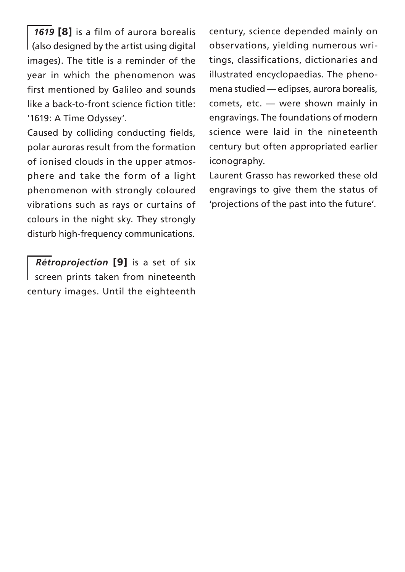*1619* [8] is a film of aurora borealis (also designed by the artist using digital images). The title is a reminder of the year in which the phenomenon was first mentioned by Galileo and sounds like a back-to-front science fiction title: '1619: A Time Odyssey'.

Caused by colliding conducting fields, polar auroras result from the formation of ionised clouds in the upper atmosphere and take the form of a light phenomenon with strongly coloured vibrations such as rays or curtains of colours in the night sky. They strongly disturb high-frequency communications.

 *Rétroprojection* [9] is a set of six screen prints taken from nineteenth century images. Until the eighteenth century, science depended mainly on observations, yielding numerous writings, classifications, dictionaries and illustrated encyclopaedias. The phenomena studied — eclipses, aurora borealis, comets, etc. — were shown mainly in engravings. The foundations of modern science were laid in the nineteenth century but often appropriated earlier iconography.

Laurent Grasso has reworked these old engravings to give them the status of 'projections of the past into the future'.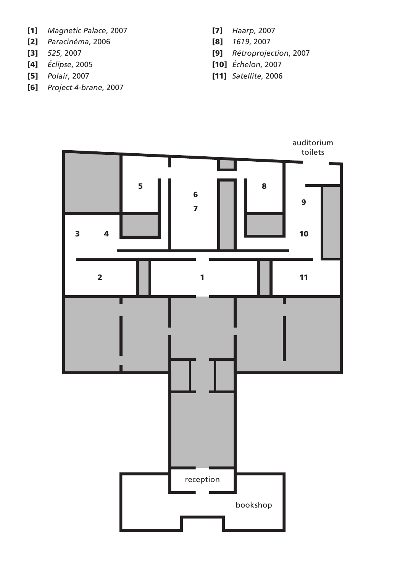- [1]*Magnetic Palace*, 2007
- [2]*Paracinéma*, 2006
- [3]*525*, 2007
- [4]*Éclipse*, 2005
- [5]*Polair*, 2007
- [6]*Project 4-brane*, 2007
- [7]*Haarp*, 2007
- [8]*1619*, 2007
- [9]*Rétroprojection*, 2007
- [10]*Échelon*, 2007
- [11]*Satellite*, 2006